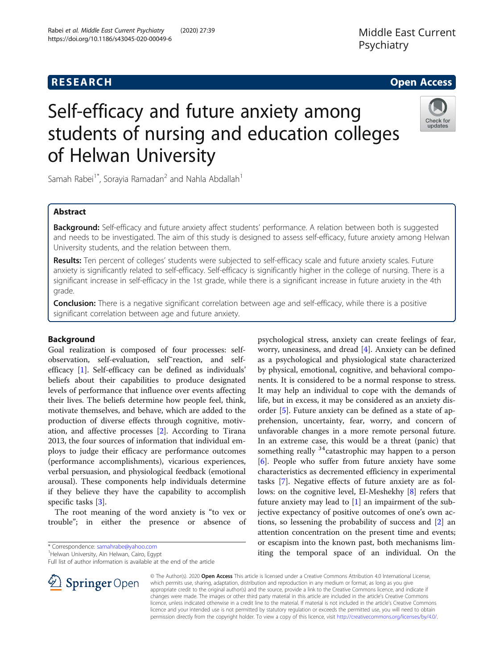# Rabei et al. Middle East Current Psychiatry (2020) 27:39 https://doi.org/10.1186/s43045-020-00049-6

© The Author(s). 2020 Open Access This article is licensed under a Creative Commons Attribution 4.0 International License, which permits use, sharing, adaptation, distribution and reproduction in any medium or format, as long as you give appropriate credit to the original author(s) and the source, provide a link to the Creative Commons licence, and indicate if changes were made. The images or other third party material in this article are included in the article's Creative Commons licence, unless indicated otherwise in a credit line to the material. If material is not included in the article's Creative Commons licence and your intended use is not permitted by statutory regulation or exceeds the permitted use, you will need to obtain permission directly from the copyright holder. To view a copy of this licence, visit <http://creativecommons.org/licenses/by/4.0/>.

Middle East Current

Psychiatry

# Self-efficacy and future anxiety among students of nursing and education colleges of Helwan University

Samah Rabei<sup>1\*</sup>, Sorayia Ramadan<sup>2</sup> and Nahla Abdallah<sup>1</sup>

# Abstract

**Background:** Self-efficacy and future anxiety affect students' performance. A relation between both is suggested and needs to be investigated. The aim of this study is designed to assess self-efficacy, future anxiety among Helwan University students, and the relation between them.

Results: Ten percent of colleges' students were subjected to self-efficacy scale and future anxiety scales. Future anxiety is significantly related to self-efficacy. Self-efficacy is significantly higher in the college of nursing. There is a significant increase in self-efficacy in the 1st grade, while there is a significant increase in future anxiety in the 4th grade.

Conclusion: There is a negative significant correlation between age and self-efficacy, while there is a positive significant correlation between age and future anxiety.

# Background

Goal realization is composed of four processes: selfobservation, self-evaluation, self-reaction, and selfefficacy [[1\]](#page-4-0). Self-efficacy can be defined as individuals' beliefs about their capabilities to produce designated levels of performance that influence over events affecting their lives. The beliefs determine how people feel, think, motivate themselves, and behave, which are added to the production of diverse effects through cognitive, motivation, and affective processes [[2](#page-4-0)]. According to Tirana 2013, the four sources of information that individual employs to judge their efficacy are performance outcomes (performance accomplishments), vicarious experiences, verbal persuasion, and physiological feedback (emotional arousal). These components help individuals determine if they believe they have the capability to accomplish specific tasks [[3\]](#page-4-0).

The root meaning of the word anxiety is "to vex or trouble"; in either the presence or absence of

\* Correspondence: [samahrabe@yahoo.com](mailto:samahrabe@yahoo.com) <sup>1</sup>

 $\perp$  Springer Open

<sup>1</sup>Helwan University, Ain Helwan, Cairo, Egypt

Full list of author information is available at the end of the article

worry, uneasiness, and dread [[4\]](#page-4-0). Anxiety can be defined as a psychological and physiological state characterized by physical, emotional, cognitive, and behavioral components. It is considered to be a normal response to stress. It may help an individual to cope with the demands of life, but in excess, it may be considered as an anxiety disorder [\[5](#page-4-0)]. Future anxiety can be defined as a state of apprehension, uncertainty, fear, worry, and concern of unfavorable changes in a more remote personal future. In an extreme case, this would be a threat (panic) that something really  $34$  catastrophic may happen to a person [[6\]](#page-4-0). People who suffer from future anxiety have some characteristics as decremented efficiency in experimental tasks [[7\]](#page-4-0). Negative effects of future anxiety are as follows: on the cognitive level, El-Meshekhy [\[8](#page-4-0)] refers that future anxiety may lead to [[1\]](#page-4-0) an impairment of the subjective expectancy of positive outcomes of one's own actions, so lessening the probability of success and [[2\]](#page-4-0) an attention concentration on the present time and events; or escapism into the known past, both mechanisms limiting the temporal space of an individual. On the

psychological stress, anxiety can create feelings of fear,



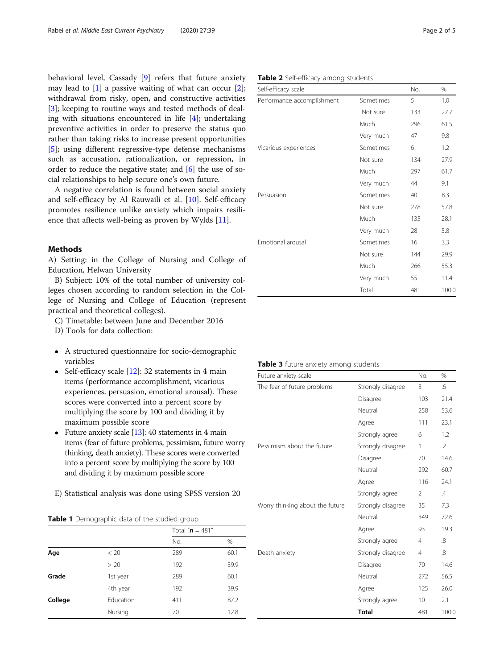<span id="page-1-0"></span>behavioral level, Cassady [[9\]](#page-4-0) refers that future anxiety may lead to  $[1]$  $[1]$  $[1]$  a passive waiting of what can occur  $[2]$  $[2]$ ; withdrawal from risky, open, and constructive activities [[3\]](#page-4-0); keeping to routine ways and tested methods of dealing with situations encountered in life [[4\]](#page-4-0); undertaking preventive activities in order to preserve the status quo rather than taking risks to increase present opportunities [[5\]](#page-4-0); using different regressive-type defense mechanisms such as accusation, rationalization, or repression, in order to reduce the negative state; and [[6\]](#page-4-0) the use of social relationships to help secure one's own future.

A negative correlation is found between social anxiety and self-efficacy by Al Rauwaili et al. [\[10](#page-4-0)]. Self-efficacy promotes resilience unlike anxiety which impairs resilience that affects well-being as proven by Wylds [[11\]](#page-4-0).

## Methods

A) Setting: in the College of Nursing and College of Education, Helwan University

B) Subject: 10% of the total number of university colleges chosen according to random selection in the College of Nursing and College of Education (represent practical and theoretical colleges).

- C) Timetable: between June and December 2016
- D) Tools for data collection:
- A structured questionnaire for socio-demographic variables
- Self-efficacy scale  $[12]$  $[12]$  $[12]$ : 32 statements in 4 main items (performance accomplishment, vicarious experiences, persuasion, emotional arousal). These scores were converted into a percent score by multiplying the score by 100 and dividing it by maximum possible score
- Future anxiety scale  $[13]$  $[13]$ : 40 statements in 4 main items (fear of future problems, pessimism, future worry thinking, death anxiety). These scores were converted into a percent score by multiplying the score by 100 and dividing it by maximum possible score
- E) Statistical analysis was done using SPSS version 20

## Table 1 Demographic data of the studied group

|         |           | Total " $n = 481$ " |      |
|---------|-----------|---------------------|------|
|         |           | No.                 | %    |
| Age     | < 20      | 289                 | 60.1 |
|         | > 20      | 192                 | 39.9 |
| Grade   | 1st year  | 289                 | 60.1 |
|         | 4th year  | 192                 | 39.9 |
| College | Education | 411                 | 87.2 |
|         | Nursing   | 70                  | 12.8 |

# Table 2 Self-efficacy among students

| Self-efficacy scale        |           | No. | %     |
|----------------------------|-----------|-----|-------|
| Performance accomplishment | Sometimes | 5   | 1.0   |
|                            | Not sure  | 133 | 27.7  |
|                            | Much      | 296 | 61.5  |
|                            | Very much | 47  | 9.8   |
| Vicarious experiences      | Sometimes | 6   | 1.2   |
|                            | Not sure  | 134 | 27.9  |
|                            | Much      | 297 | 61.7  |
|                            | Very much | 44  | 9.1   |
| Persuasion                 | Sometimes | 40  | 8.3   |
|                            | Not sure  | 278 | 57.8  |
|                            | Much      | 135 | 28.1  |
|                            | Very much | 28  | 5.8   |
| Emotional arousal          | Sometimes | 16  | 3.3   |
|                            | Not sure  | 144 | 29.9  |
|                            | Much      | 266 | 55.3  |
|                            | Very much | 55  | 11.4  |
|                            | Total     | 481 | 100.0 |

| Table 3 future anxiety among students |  |  |  |  |
|---------------------------------------|--|--|--|--|
|---------------------------------------|--|--|--|--|

| Future anxiety scale            |                   | No.             | %             |
|---------------------------------|-------------------|-----------------|---------------|
| The fear of future problems     | Strongly disagree | 3               | .6            |
|                                 | Disagree          | 103             | 21.4          |
|                                 | Neutral           | 258             | 53.6          |
|                                 | Agree             | 111             | 23.1          |
|                                 | Strongly agree    | 6               | 1.2           |
| Pessimism about the future      | Strongly disagree | 1               | $\cdot$ 2     |
|                                 | Disagree          | 70              | 14.6          |
|                                 | Neutral           | 292             | 60.7          |
|                                 | Agree             | 116             | 24.1          |
|                                 | Strongly agree    | 2               | $\mathcal{A}$ |
| Worry thinking about the future | Strongly disagree | 35              | 7.3           |
|                                 | Neutral           | 349             | 72.6          |
|                                 | Agree             | 93              | 19.3          |
|                                 | Strongly agree    | $\overline{4}$  | $\mathcal{S}$ |
| Death anxiety                   | Strongly disagree | $\overline{4}$  | 8.            |
|                                 | Disagree          | 70              | 14.6          |
|                                 | Neutral           | 272             | 56.5          |
|                                 | Agree             | 125             | 26.0          |
|                                 | Strongly agree    | 10 <sup>°</sup> | 2.1           |
|                                 | <b>Total</b>      | 481             | 100.0         |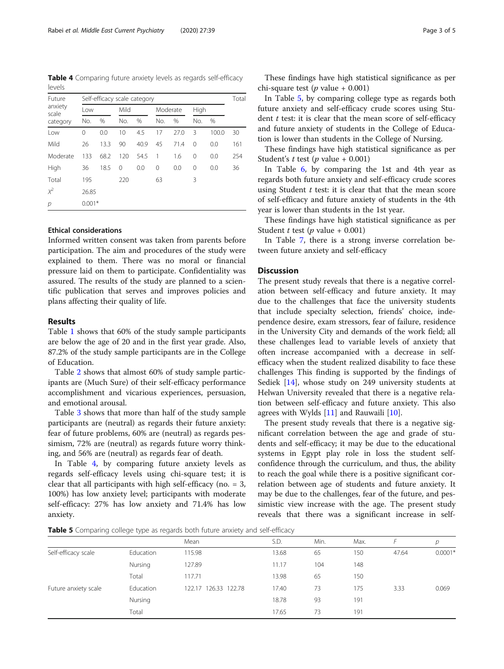Table 4 Comparing future anxiety levels as regards self-efficacy levels

| Future<br>anxiety<br>scale<br>category | Self-efficacy scale category |      |          |      |     |          |          | Total |     |
|----------------------------------------|------------------------------|------|----------|------|-----|----------|----------|-------|-----|
|                                        | Low                          |      |          | Mild |     | Moderate |          | High  |     |
|                                        | No.                          | $\%$ | No.      | %    | No. | $\%$     | No.      | $\%$  |     |
| Low                                    | 0                            | 0.0  | 10       | 4.5  | 17  | 27.0     | 3        | 100.0 | 30  |
| Mild                                   | 26                           | 13.3 | 90       | 40.9 | 45  | 71.4     | $\Omega$ | 0.0   | 161 |
| Moderate                               | 133                          | 68.2 | 120      | 54.5 | 1   | 1.6      | 0        | 0.0   | 254 |
| High                                   | 36                           | 18.5 | $\Omega$ | 0.0  | 0   | 0.0      | $\Omega$ | 0.0   | 36  |
| Total                                  | 195                          |      | 220      |      | 63  |          | 3        |       |     |
| $\chi^2$                               | 26.85                        |      |          |      |     |          |          |       |     |
| p                                      | $0.001*$                     |      |          |      |     |          |          |       |     |

## Ethical considerations

Informed written consent was taken from parents before participation. The aim and procedures of the study were explained to them. There was no moral or financial pressure laid on them to participate. Confidentiality was assured. The results of the study are planned to a scientific publication that serves and improves policies and plans affecting their quality of life.

#### Results

Table [1](#page-1-0) shows that 60% of the study sample participants are below the age of 20 and in the first year grade. Also, 87.2% of the study sample participants are in the College of Education.

Table [2](#page-1-0) shows that almost 60% of study sample participants are (Much Sure) of their self-efficacy performance accomplishment and vicarious experiences, persuasion, and emotional arousal.

Table [3](#page-1-0) shows that more than half of the study sample participants are (neutral) as regards their future anxiety: fear of future problems, 60% are (neutral) as regards pessimism, 72% are (neutral) as regards future worry thinking, and 56% are (neutral) as regards fear of death.

In Table 4, by comparing future anxiety levels as regards self-efficacy levels using chi-square test; it is clear that all participants with high self-efficacy (no. = 3, 100%) has low anxiety level; participants with moderate self-efficacy: 27% has low anxiety and 71.4% has low anxiety.

These findings have high statistical significance as per chi-square test (*p* value + 0.001)

In Table 5, by comparing college type as regards both future anxiety and self-efficacy crude scores using Student  $t$  test: it is clear that the mean score of self-efficacy and future anxiety of students in the College of Education is lower than students in the College of Nursing.

These findings have high statistical significance as per Student's  $t$  test ( $p$  value + 0.001)

In Table [6](#page-3-0), by comparing the 1st and 4th year as regards both future anxiety and self-efficacy crude scores using Student  $t$  test: it is clear that that the mean score of self-efficacy and future anxiety of students in the 4th year is lower than students in the 1st year.

These findings have high statistical significance as per Student *t* test (*p* value + 0.001)

In Table [7,](#page-3-0) there is a strong inverse correlation between future anxiety and self-efficacy

#### **Discussion**

The present study reveals that there is a negative correlation between self-efficacy and future anxiety. It may due to the challenges that face the university students that include specialty selection, friends' choice, independence desire, exam stressors, fear of failure, residence in the University City and demands of the work field; all these challenges lead to variable levels of anxiety that often increase accompanied with a decrease in selfefficacy when the student realized disability to face these challenges This finding is supported by the findings of Sediek [[14\]](#page-4-0), whose study on 249 university students at Helwan University revealed that there is a negative relation between self-efficacy and future anxiety. This also agrees with Wylds [[11\]](#page-4-0) and Rauwaili [[10](#page-4-0)].

The present study reveals that there is a negative significant correlation between the age and grade of students and self-efficacy; it may be due to the educational systems in Egypt play role in loss the student selfconfidence through the curriculum, and thus, the ability to reach the goal while there is a positive significant correlation between age of students and future anxiety. It may be due to the challenges, fear of the future, and pessimistic view increase with the age. The present study reveals that there was a significant increase in self-

Table 5 Comparing college type as regards both future anxiety and self-efficacy

|                      |           | Mean                 | S.D.  | Min. | Max. |       | р         |
|----------------------|-----------|----------------------|-------|------|------|-------|-----------|
| Self-efficacy scale  | Education | 115.98               | 13.68 | 65   | 150  | 47.64 | $0.0001*$ |
|                      | Nursing   | 127.89               | 11.17 | 104  | 148  |       |           |
|                      | Total     | 117.71               | 13.98 | 65   | 150  |       |           |
| Future anxiety scale | Education | 122.17 126.33 122.78 | 17.40 | 73   | 175  | 3.33  | 0.069     |
|                      | Nursing   |                      | 18.78 | -93  | 191  |       |           |
|                      | Total     |                      | 17.65 | 73   | 191  |       |           |
|                      |           |                      |       |      |      |       |           |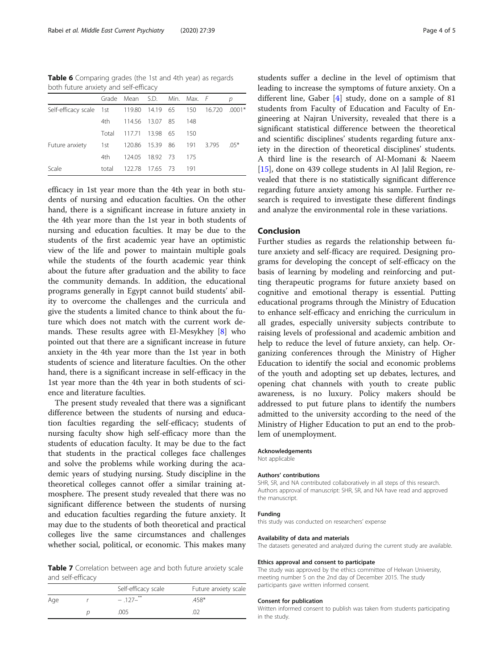<span id="page-3-0"></span>Table 6 Comparing grades (the 1st and 4th year) as regards both future anxiety and self-efficacy

|                                                           |       | Grade Mean S.D. Min. Max. F |  |       |  |
|-----------------------------------------------------------|-------|-----------------------------|--|-------|--|
| Self-efficacy scale 1st 119.80 14.19 65 150 16.720 .0001* |       |                             |  |       |  |
|                                                           |       | 4th 114.56 13.07 85         |  | - 148 |  |
|                                                           |       | Total 117.71 13.98 65       |  | 150   |  |
| Future anxiety 1st 120.86 15.39 86 191 3.795 .05*         |       |                             |  |       |  |
|                                                           | 4th a | 124.05 18.92 73 175         |  |       |  |
| Scale                                                     |       | total 122.78 17.65 73 191   |  |       |  |

efficacy in 1st year more than the 4th year in both students of nursing and education faculties. On the other hand, there is a significant increase in future anxiety in the 4th year more than the 1st year in both students of nursing and education faculties. It may be due to the students of the first academic year have an optimistic view of the life and power to maintain multiple goals while the students of the fourth academic year think about the future after graduation and the ability to face the community demands. In addition, the educational programs generally in Egypt cannot build students' ability to overcome the challenges and the curricula and give the students a limited chance to think about the future which does not match with the current work demands. These results agree with El-Mesykhey [\[8](#page-4-0)] who pointed out that there are a significant increase in future anxiety in the 4th year more than the 1st year in both students of science and literature faculties. On the other hand, there is a significant increase in self-efficacy in the 1st year more than the 4th year in both students of science and literature faculties.

The present study revealed that there was a significant difference between the students of nursing and education faculties regarding the self-efficacy; students of nursing faculty show high self-efficacy more than the students of education faculty. It may be due to the fact that students in the practical colleges face challenges and solve the problems while working during the academic years of studying nursing. Study discipline in the theoretical colleges cannot offer a similar training atmosphere. The present study revealed that there was no significant difference between the students of nursing and education faculties regarding the future anxiety. It may due to the students of both theoretical and practical colleges live the same circumstances and challenges whether social, political, or economic. This makes many

Table 7 Correlation between age and both future anxiety scale and self-efficacy

|     | Self-efficacy scale | Future anxiety scale |
|-----|---------------------|----------------------|
| Age | $-.127-$ **         | 458*                 |
|     | .005                |                      |

students suffer a decline in the level of optimism that leading to increase the symptoms of future anxiety. On a different line, Gaber [[4](#page-4-0)] study, done on a sample of 81 students from Faculty of Education and Faculty of Engineering at Najran University, revealed that there is a significant statistical difference between the theoretical and scientific disciplines' students regarding future anxiety in the direction of theoretical disciplines' students. A third line is the research of Al-Momani & Naeem [[15\]](#page-4-0), done on 439 college students in Al Jalil Region, revealed that there is no statistically significant difference regarding future anxiety among his sample. Further research is required to investigate these different findings and analyze the environmental role in these variations.

#### Conclusion

Further studies as regards the relationship between future anxiety and self-fficacy are required. Designing programs for developing the concept of self-efficacy on the basis of learning by modeling and reinforcing and putting therapeutic programs for future anxiety based on cognitive and emotional therapy is essential. Putting educational programs through the Ministry of Education to enhance self-efficacy and enriching the curriculum in all grades, especially university subjects contribute to raising levels of professional and academic ambition and help to reduce the level of future anxiety, can help. Organizing conferences through the Ministry of Higher Education to identify the social and economic problems of the youth and adopting set up debates, lectures, and opening chat channels with youth to create public awareness, is no luxury. Policy makers should be addressed to put future plans to identify the numbers admitted to the university according to the need of the Ministry of Higher Education to put an end to the problem of unemployment.

#### Acknowledgements

Not applicable

#### Authors' contributions

SHR, SR, and NA contributed collaboratively in all steps of this research. Authors approval of manuscript: SHR, SR, and NA have read and approved the manuscript.

#### Funding

this study was conducted on researchers' expense

#### Availability of data and materials

The datasets generated and analyzed during the current study are available.

#### Ethics approval and consent to participate

The study was approved by the ethics committee of Helwan University, meeting number 5 on the 2nd day of December 2015. The study participants gave written informed consent.

#### Consent for publication

Written informed consent to publish was taken from students participating in the study.